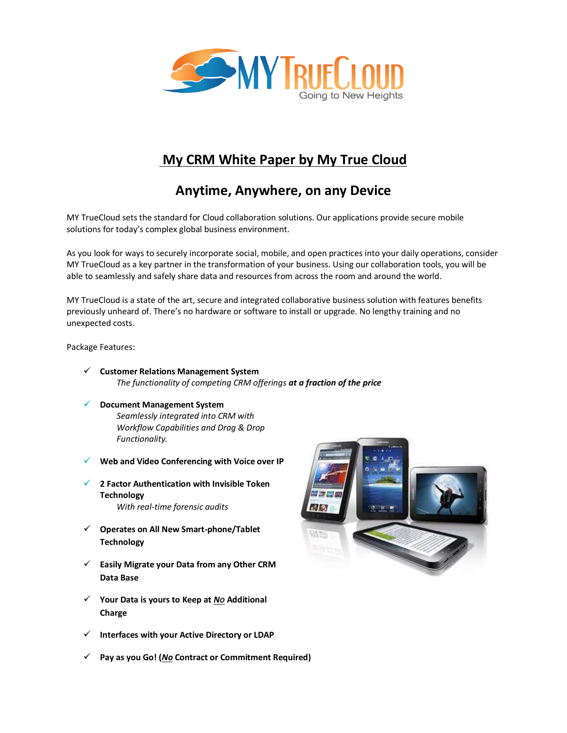

# **My CRM White Paper by My True Cloud**

# **Anytime, Anywhere, on any Device**

MY TrueCloud sets the standard for Cloud collaboration solutions. Our applications provide secure mobile solutions for today's complex global business environment.

As you look for ways to securely incorporate social, mobile, and open practices into your daily operations, consider MY TrueCloud as a key partner in the transformation of your business. Using our collaboration tools, you will be able to seamlessly and safely share data and resources from across the room and around the world.

MY TrueCloud is a state of the art, secure and integrated collaborative business solution with features benefits previously unheard of. There's no hardware or software to install or upgrade. No lengthy training and no unexpected costs.

Package Features:

- ✓ **Customer Relations Management System** *The functionality of competing CRM offerings at a fraction of the price*
- ✓ **Document Management System** *Seamlessly integrated into CRM with Workflow Capabilities and Drag & Drop Functionality.*
- ✓ **Web and Video Conferencing with Voice over IP**
- ✓ **2 Factor Authentication with Invisible Token Technology**  *With real-time forensic audits*
- ✓ **Operates on All New Smart-phone/Tablet Technology**
- ✓ **Easily Migrate your Data from any Other CRM Data Base**
- ✓ **Your Data is yours to Keep at** *NO* **Additional Charge**
- ✓ **Interfaces with your Active Directory or LDAP**
- ✓ **Pay as you Go! (***No* **Contract or Commitment Required)**

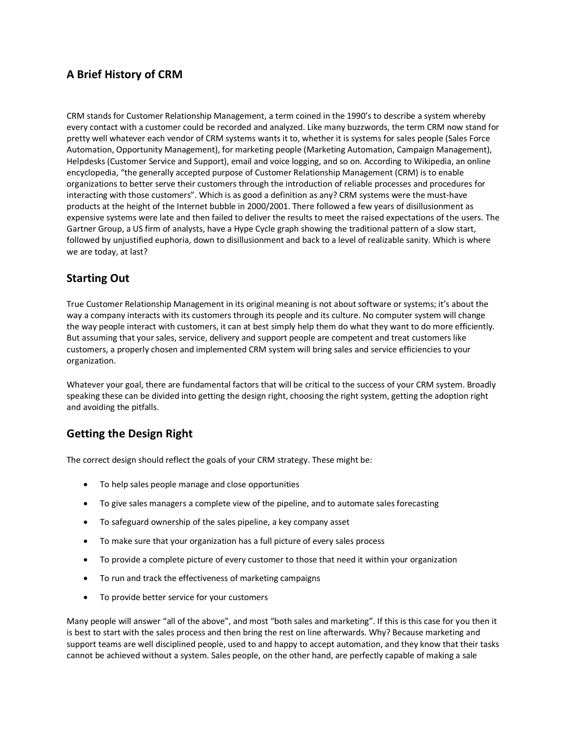# **A Brief History of CRM**

CRM stands for Customer Relationship Management, a term coined in the 1990's to describe a system whereby every contact with a customer could be recorded and analyzed. Like many buzzwords, the term CRM now stand for pretty well whatever each vendor of CRM systems wants it to, whether it is systems for sales people (Sales Force Automation, Opportunity Management), for marketing people (Marketing Automation, Campaign Management), Helpdesks (Customer Service and Support), email and voice logging, and so on. According to Wikipedia, an online encyclopedia, "the generally accepted purpose of Customer Relationship Management (CRM) is to enable organizations to better serve their customers through the introduction of reliable processes and procedures for interacting with those customers". Which is as good a definition as any? CRM systems were the must-have products at the height of the Internet bubble in 2000/2001. There followed a few years of disillusionment as expensive systems were late and then failed to deliver the results to meet the raised expectations of the users. The Gartner Group, a US firm of analysts, have a Hype Cycle graph showing the traditional pattern of a slow start, followed by unjustified euphoria, down to disillusionment and back to a level of realizable sanity. Which is where we are today, at last?

### **Starting Out**

True Customer Relationship Management in its original meaning is not about software or systems; it's about the way a company interacts with its customers through its people and its culture. No computer system will change the way people interact with customers, it can at best simply help them do what they want to do more efficiently. But assuming that your sales, service, delivery and support people are competent and treat customers like customers, a properly chosen and implemented CRM system will bring sales and service efficiencies to your organization.

Whatever your goal, there are fundamental factors that will be critical to the success of your CRM system. Broadly speaking these can be divided into getting the design right, choosing the right system, getting the adoption right and avoiding the pitfalls.

# **Getting the Design Right**

The correct design should reflect the goals of your CRM strategy. These might be:

- To help sales people manage and close opportunities
- To give sales managers a complete view of the pipeline, and to automate sales forecasting
- To safeguard ownership of the sales pipeline, a key company asset
- To make sure that your organization has a full picture of every sales process
- To provide a complete picture of every customer to those that need it within your organization
- To run and track the effectiveness of marketing campaigns
- To provide better service for your customers

Many people will answer "all of the above", and most "both sales and marketing". If this is this case for you then it is best to start with the sales process and then bring the rest on line afterwards. Why? Because marketing and support teams are well disciplined people, used to and happy to accept automation, and they know that their tasks cannot be achieved without a system. Sales people, on the other hand, are perfectly capable of making a sale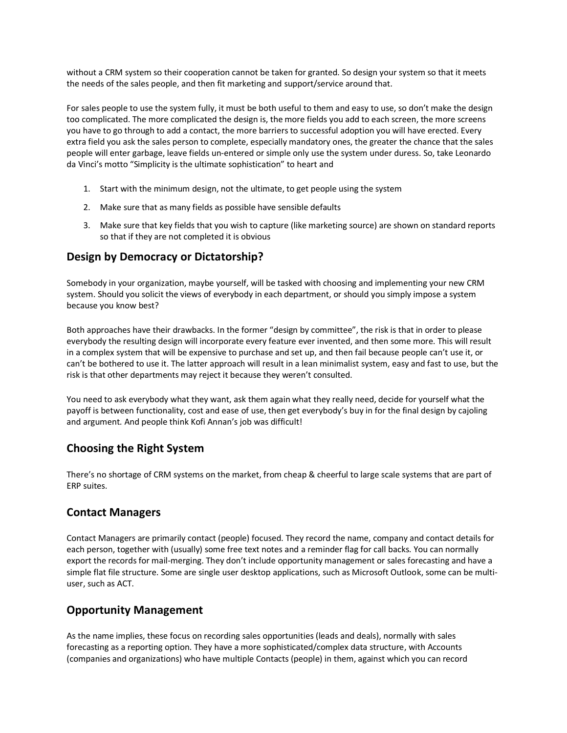without a CRM system so their cooperation cannot be taken for granted. So design your system so that it meets the needs of the sales people, and then fit marketing and support/service around that.

For sales people to use the system fully, it must be both useful to them and easy to use, so don't make the design too complicated. The more complicated the design is, the more fields you add to each screen, the more screens you have to go through to add a contact, the more barriers to successful adoption you will have erected. Every extra field you ask the sales person to complete, especially mandatory ones, the greater the chance that the sales people will enter garbage, leave fields un-entered or simple only use the system under duress. So, take Leonardo da Vinci's motto "Simplicity is the ultimate sophistication" to heart and

- 1. Start with the minimum design, not the ultimate, to get people using the system
- 2. Make sure that as many fields as possible have sensible defaults
- 3. Make sure that key fields that you wish to capture (like marketing source) are shown on standard reports so that if they are not completed it is obvious

#### **Design by Democracy or Dictatorship?**

Somebody in your organization, maybe yourself, will be tasked with choosing and implementing your new CRM system. Should you solicit the views of everybody in each department, or should you simply impose a system because you know best?

Both approaches have their drawbacks. In the former "design by committee", the risk is that in order to please everybody the resulting design will incorporate every feature ever invented, and then some more. This will result in a complex system that will be expensive to purchase and set up, and then fail because people can't use it, or can't be bothered to use it. The latter approach will result in a lean minimalist system, easy and fast to use, but the risk is that other departments may reject it because they weren't consulted.

You need to ask everybody what they want, ask them again what they really need, decide for yourself what the payoff is between functionality, cost and ease of use, then get everybody's buy in for the final design by cajoling and argument. And people think Kofi Annan's job was difficult!

#### **Choosing the Right System**

There's no shortage of CRM systems on the market, from cheap & cheerful to large scale systems that are part of ERP suites.

#### **Contact Managers**

Contact Managers are primarily contact (people) focused. They record the name, company and contact details for each person, together with (usually) some free text notes and a reminder flag for call backs. You can normally export the records for mail-merging. They don't include opportunity management or sales forecasting and have a simple flat file structure. Some are single user desktop applications, such as Microsoft Outlook, some can be multiuser, such as ACT.

#### **Opportunity Management**

As the name implies, these focus on recording sales opportunities (leads and deals), normally with sales forecasting as a reporting option. They have a more sophisticated/complex data structure, with Accounts (companies and organizations) who have multiple Contacts (people) in them, against which you can record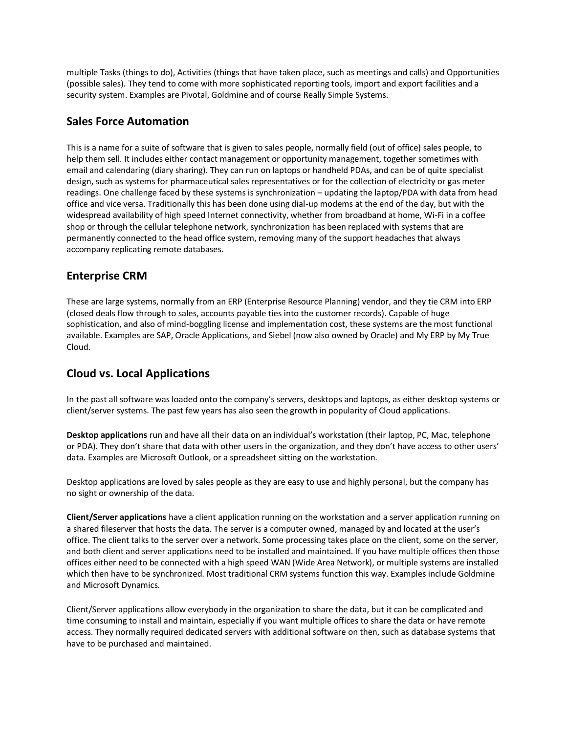multiple Tasks (things to do), Activities (things that have taken place, such as meetings and calls) and Opportunities (possible sales). They tend to come with more sophisticated reporting tools, import and export facilities and a security system. Examples are Pivotal, Goldmine and of course Really Simple Systems.

### **Sales Force Automation**

This is a name for a suite of software that is given to sales people, normally field (out of office) sales people, to help them sell. It includes either contact management or opportunity management, together sometimes with email and calendaring (diary sharing). They can run on laptops or handheld PDAs, and can be of quite specialist design, such as systems for pharmaceutical sales representatives or for the collection of electricity or gas meter readings. One challenge faced by these systems is synchronization – updating the laptop/PDA with data from head office and vice versa. Traditionally this has been done using dial-up modems at the end of the day, but with the widespread availability of high speed Internet connectivity, whether from broadband at home, Wi-Fi in a coffee shop or through the cellular telephone network, synchronization has been replaced with systems that are permanently connected to the head office system, removing many of the support headaches that always accompany replicating remote databases.

### **Enterprise CRM**

These are large systems, normally from an ERP (Enterprise Resource Planning) vendor, and they tie CRM into ERP (closed deals flow through to sales, accounts payable ties into the customer records). Capable of huge sophistication, and also of mind-boggling license and implementation cost, these systems are the most functional available. Examples are SAP, Oracle Applications, and Siebel (now also owned by Oracle) and My ERP by My True Cloud.

# **Cloud vs. Local Applications**

In the past all software was loaded onto the company's servers, desktops and laptops, as either desktop systems or client/server systems. The past few years has also seen the growth in popularity of Cloud applications.

**Desktop applications** run and have all their data on an individual's workstation (their laptop, PC, Mac, telephone or PDA). They don't share that data with other users in the organization, and they don't have access to other users' data. Examples are Microsoft Outlook, or a spreadsheet sitting on the workstation.

Desktop applications are loved by sales people as they are easy to use and highly personal, but the company has no sight or ownership of the data.

**Client/Server applications** have a client application running on the workstation and a server application running on a shared fileserver that hosts the data. The server is a computer owned, managed by and located at the user's office. The client talks to the server over a network. Some processing takes place on the client, some on the server, and both client and server applications need to be installed and maintained. If you have multiple offices then those offices either need to be connected with a high speed WAN (Wide Area Network), or multiple systems are installed which then have to be synchronized. Most traditional CRM systems function this way. Examples include Goldmine and Microsoft Dynamics.

Client/Server applications allow everybody in the organization to share the data, but it can be complicated and time consuming to install and maintain, especially if you want multiple offices to share the data or have remote access. They normally required dedicated servers with additional software on then, such as database systems that have to be purchased and maintained.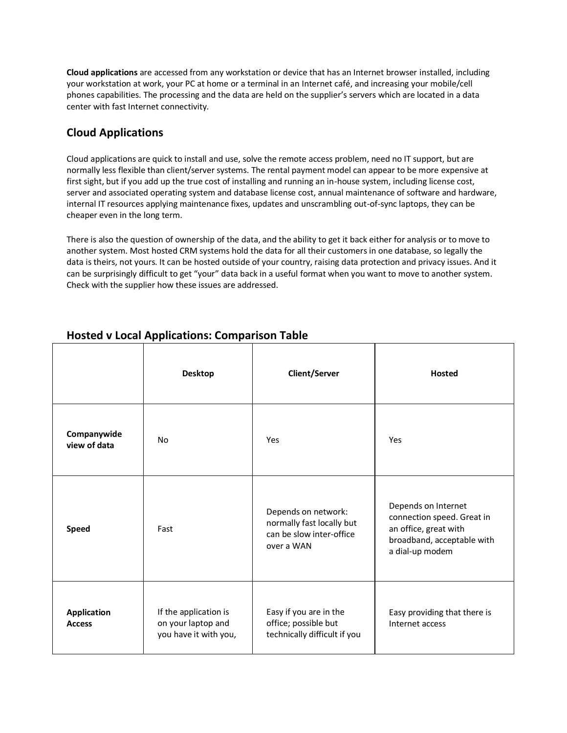**Cloud applications** are accessed from any workstation or device that has an Internet browser installed, including your workstation at work, your PC at home or a terminal in an Internet café, and increasing your mobile/cell phones capabilities. The processing and the data are held on the supplier's servers which are located in a data center with fast Internet connectivity.

# **Cloud Applications**

Cloud applications are quick to install and use, solve the remote access problem, need no IT support, but are normally less flexible than client/server systems. The rental payment model can appear to be more expensive at first sight, but if you add up the true cost of installing and running an in-house system, including license cost, server and associated operating system and database license cost, annual maintenance of software and hardware, internal IT resources applying maintenance fixes, updates and unscrambling out-of-sync laptops, they can be cheaper even in the long term.

There is also the question of ownership of the data, and the ability to get it back either for analysis or to move to another system. Most hosted CRM systems hold the data for all their customers in one database, so legally the data is theirs, not yours. It can be hosted outside of your country, raising data protection and privacy issues. And it can be surprisingly difficult to get "your" data back in a useful format when you want to move to another system. Check with the supplier how these issues are addressed.

|                              | <b>Desktop</b>                                                       | <b>Client/Server</b>                                                                       | <b>Hosted</b>                                                                                                               |
|------------------------------|----------------------------------------------------------------------|--------------------------------------------------------------------------------------------|-----------------------------------------------------------------------------------------------------------------------------|
| Companywide<br>view of data  | No                                                                   | Yes                                                                                        | Yes                                                                                                                         |
| <b>Speed</b>                 | Fast                                                                 | Depends on network:<br>normally fast locally but<br>can be slow inter-office<br>over a WAN | Depends on Internet<br>connection speed. Great in<br>an office, great with<br>broadband, acceptable with<br>a dial-up modem |
| Application<br><b>Access</b> | If the application is<br>on your laptop and<br>you have it with you, | Easy if you are in the<br>office; possible but<br>technically difficult if you             | Easy providing that there is<br>Internet access                                                                             |

# **Hosted v Local Applications: Comparison Table**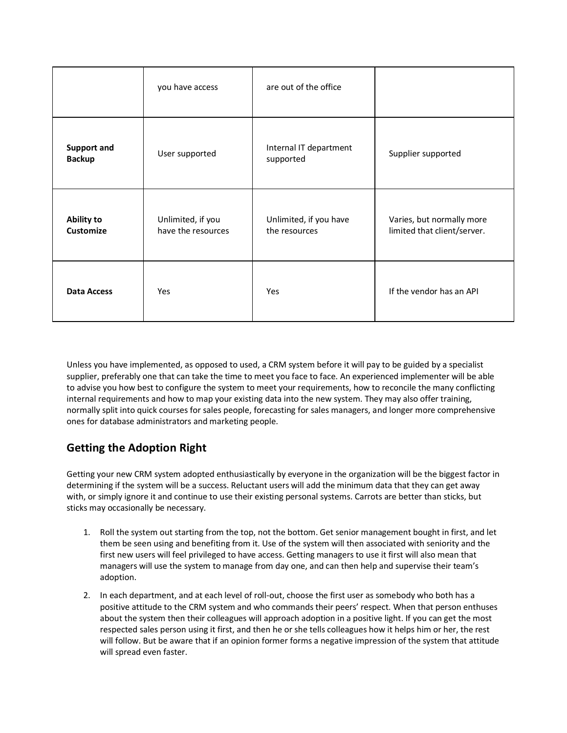|                                     | you have access                         | are out of the office                   |                                                          |
|-------------------------------------|-----------------------------------------|-----------------------------------------|----------------------------------------------------------|
| <b>Support and</b><br><b>Backup</b> | User supported                          | Internal IT department<br>supported     | Supplier supported                                       |
| Ability to<br>Customize             | Unlimited, if you<br>have the resources | Unlimited, if you have<br>the resources | Varies, but normally more<br>limited that client/server. |
| <b>Data Access</b>                  | Yes                                     | Yes                                     | If the vendor has an API                                 |

Unless you have implemented, as opposed to used, a CRM system before it will pay to be guided by a specialist supplier, preferably one that can take the time to meet you face to face. An experienced implementer will be able to advise you how best to configure the system to meet your requirements, how to reconcile the many conflicting internal requirements and how to map your existing data into the new system. They may also offer training, normally split into quick courses for sales people, forecasting for sales managers, and longer more comprehensive ones for database administrators and marketing people.

# **Getting the Adoption Right**

Getting your new CRM system adopted enthusiastically by everyone in the organization will be the biggest factor in determining if the system will be a success. Reluctant users will add the minimum data that they can get away with, or simply ignore it and continue to use their existing personal systems. Carrots are better than sticks, but sticks may occasionally be necessary.

- 1. Roll the system out starting from the top, not the bottom. Get senior management bought in first, and let them be seen using and benefiting from it. Use of the system will then associated with seniority and the first new users will feel privileged to have access. Getting managers to use it first will also mean that managers will use the system to manage from day one, and can then help and supervise their team's adoption.
- 2. In each department, and at each level of roll-out, choose the first user as somebody who both has a positive attitude to the CRM system and who commands their peers' respect. When that person enthuses about the system then their colleagues will approach adoption in a positive light. If you can get the most respected sales person using it first, and then he or she tells colleagues how it helps him or her, the rest will follow. But be aware that if an opinion former forms a negative impression of the system that attitude will spread even faster.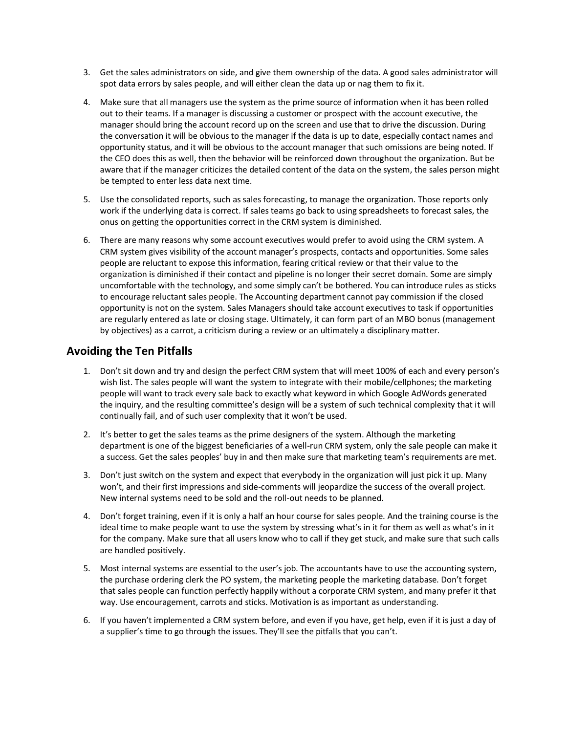- 3. Get the sales administrators on side, and give them ownership of the data. A good sales administrator will spot data errors by sales people, and will either clean the data up or nag them to fix it.
- 4. Make sure that all managers use the system as the prime source of information when it has been rolled out to their teams. If a manager is discussing a customer or prospect with the account executive, the manager should bring the account record up on the screen and use that to drive the discussion. During the conversation it will be obvious to the manager if the data is up to date, especially contact names and opportunity status, and it will be obvious to the account manager that such omissions are being noted. If the CEO does this as well, then the behavior will be reinforced down throughout the organization. But be aware that if the manager criticizes the detailed content of the data on the system, the sales person might be tempted to enter less data next time.
- 5. Use the consolidated reports, such as sales forecasting, to manage the organization. Those reports only work if the underlying data is correct. If sales teams go back to using spreadsheets to forecast sales, the onus on getting the opportunities correct in the CRM system is diminished.
- 6. There are many reasons why some account executives would prefer to avoid using the CRM system. A CRM system gives visibility of the account manager's prospects, contacts and opportunities. Some sales people are reluctant to expose this information, fearing critical review or that their value to the organization is diminished if their contact and pipeline is no longer their secret domain. Some are simply uncomfortable with the technology, and some simply can't be bothered. You can introduce rules as sticks to encourage reluctant sales people. The Accounting department cannot pay commission if the closed opportunity is not on the system. Sales Managers should take account executives to task if opportunities are regularly entered as late or closing stage. Ultimately, it can form part of an MBO bonus (management by objectives) as a carrot, a criticism during a review or an ultimately a disciplinary matter.

#### **Avoiding the Ten Pitfalls**

- 1. Don't sit down and try and design the perfect CRM system that will meet 100% of each and every person's wish list. The sales people will want the system to integrate with their mobile/cellphones; the marketing people will want to track every sale back to exactly what keyword in which Google AdWords generated the inquiry, and the resulting committee's design will be a system of such technical complexity that it will continually fail, and of such user complexity that it won't be used.
- 2. It's better to get the sales teams as the prime designers of the system. Although the marketing department is one of the biggest beneficiaries of a well-run CRM system, only the sale people can make it a success. Get the sales peoples' buy in and then make sure that marketing team's requirements are met.
- 3. Don't just switch on the system and expect that everybody in the organization will just pick it up. Many won't, and their first impressions and side-comments will jeopardize the success of the overall project. New internal systems need to be sold and the roll-out needs to be planned.
- 4. Don't forget training, even if it is only a half an hour course for sales people. And the training course is the ideal time to make people want to use the system by stressing what's in it for them as well as what's in it for the company. Make sure that all users know who to call if they get stuck, and make sure that such calls are handled positively.
- 5. Most internal systems are essential to the user's job. The accountants have to use the accounting system, the purchase ordering clerk the PO system, the marketing people the marketing database. Don't forget that sales people can function perfectly happily without a corporate CRM system, and many prefer it that way. Use encouragement, carrots and sticks. Motivation is as important as understanding.
- 6. If you haven't implemented a CRM system before, and even if you have, get help, even if it is just a day of a supplier's time to go through the issues. They'll see the pitfalls that you can't.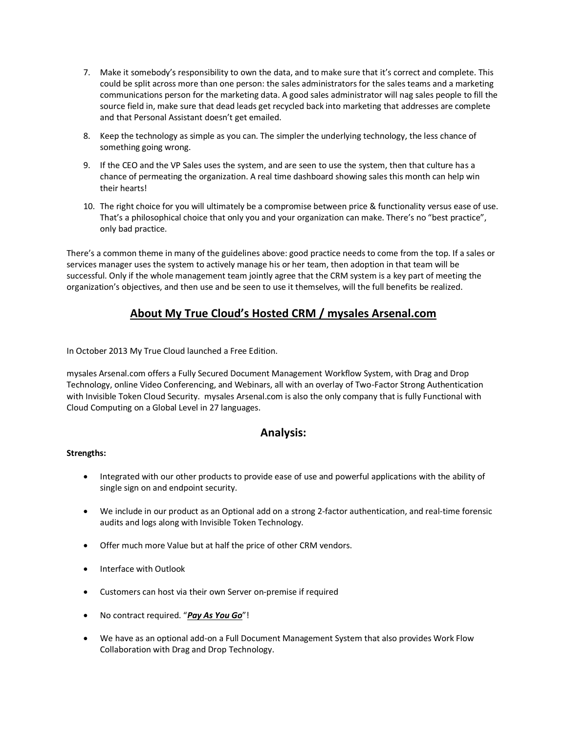- 7. Make it somebody's responsibility to own the data, and to make sure that it's correct and complete. This could be split across more than one person: the sales administrators for the sales teams and a marketing communications person for the marketing data. A good sales administrator will nag sales people to fill the source field in, make sure that dead leads get recycled back into marketing that addresses are complete and that Personal Assistant doesn't get emailed.
- 8. Keep the technology as simple as you can. The simpler the underlying technology, the less chance of something going wrong.
- 9. If the CEO and the VP Sales uses the system, and are seen to use the system, then that culture has a chance of permeating the organization. A real time dashboard showing sales this month can help win their hearts!
- 10. The right choice for you will ultimately be a compromise between price & functionality versus ease of use. That's a philosophical choice that only you and your organization can make. There's no "best practice", only bad practice.

There's a common theme in many of the guidelines above: good practice needs to come from the top. If a sales or services manager uses the system to actively manage his or her team, then adoption in that team will be successful. Only if the whole management team jointly agree that the CRM system is a key part of meeting the organization's objectives, and then use and be seen to use it themselves, will the full benefits be realized.

# **About My True Cloud's Hosted CRM / mysales Arsenal.com**

In October 2013 My True Cloud launched a Free Edition.

mysales Arsenal.com offers a Fully Secured Document Management Workflow System, with Drag and Drop Technology, online Video Conferencing, and Webinars, all with an overlay of Two-Factor Strong Authentication with Invisible Token Cloud Security. mysales Arsenal.com is also the only company that is fully Functional with Cloud Computing on a Global Level in 27 languages.

#### **Analysis:**

#### **Strengths:**

- Integrated with our other products to provide ease of use and powerful applications with the ability of single sign on and endpoint security.
- We include in our product as an Optional add on a strong 2-factor authentication, and real-time forensic audits and logs along with Invisible Token Technology.
- Offer much more Value but at half the price of other CRM vendors.
- Interface with Outlook
- Customers can host via their own Server on-premise if required
- No contract required. "*Pay As You Go*"!
- We have as an optional add-on a Full Document Management System that also provides Work Flow Collaboration with Drag and Drop Technology.